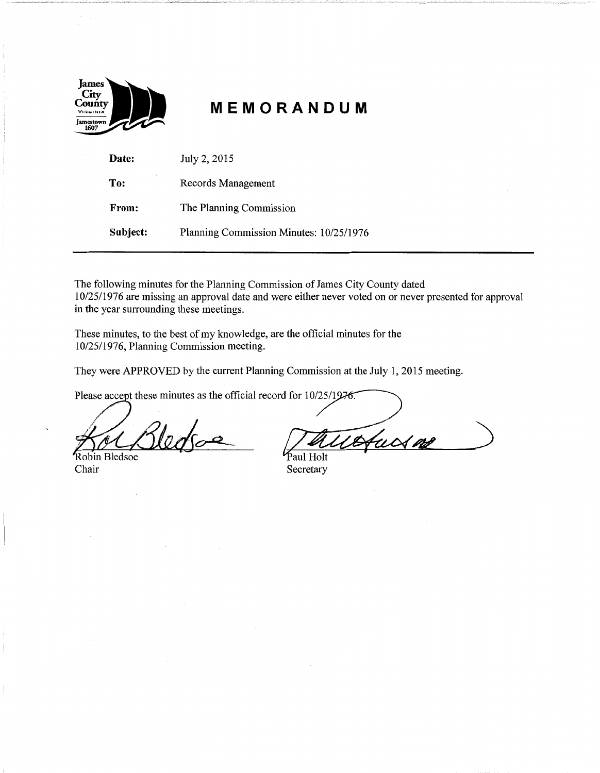

## - **MEMORANDUM**

| Date:    | July 2, 2015                            |
|----------|-----------------------------------------|
| To:      | Records Management                      |
| From:    | The Planning Commission                 |
| Subject: | Planning Commission Minutes: 10/25/1976 |

The following minutes for the Planning Commission of James City County dated 10/25/1976 are missing an approval date and were either never voted on or never presented for approval in the year surrounding these meetings.

These minutes, to the best of my knowledge, are the official minutes for the 10/25/1976, Planning Commission meeting.

They were APPROVED by the current Planning Commission at the July 1, 2015 meeting.

Please accept these minutes as the official record for  $10/25/1976$ .

Robin Bledsoe Chair

Hucs me

Paul Holt Secretary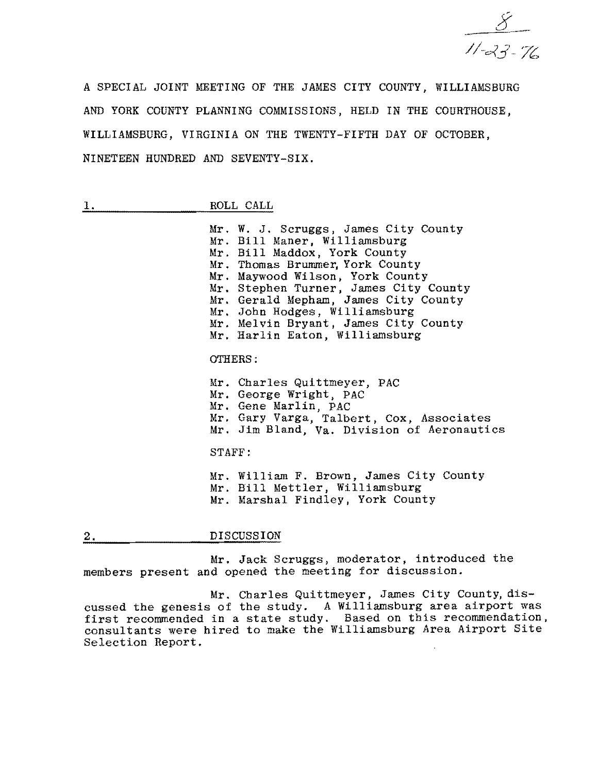

A SPECIAL JOINT MEETING OF THE JAMES CITY COUNTY, WILLIAMSBURG AND YORK COUNTY PLANNING COMMISSIONS, HELD IN THE COURTHOUSE, WILLIAMSBURG, VIRGINIA ON THE TWENTY-FIFTH DAY OF OCTOBER, NINETEEN HUNDRED AND SEVENTY-SIX.

1. ROLL CALL

Mr. W. **J.** Scruggs, James City County Mr. Bill Maner, Williamsburg Mr. Bill Maddox, York County Mr. Thomas Brummer, York County Mr. Maywood Wilson, York County Mr. Stephen Turner, James City County Mr. Gerald Mepham, James City County Mr. John Hodges, Williamsburg Mr. Melvin Bryant, James City County Mr. Harlin Eaton, Williamsburg

## OTHERS:

Mr. Charles Quittmeyer, PAC Mr. George Wright, PAC Mr. Gene Marlin, PAC Mr. Gary Varga, Talbert, Cox, Associates Mr. Jim Bland, Va. Division of Aeronautics STAFF:

Mr. William F. Brown, James City County Mr. Bill Mettler, Williamsburg Mr. Marshal Findley, York County

2. DISCUSSION

Mr. Jack Scruggs, moderator, introduced the members present and opened the meeting for discussion.

Mr. Charles Quittmeyer, James City County, discussed the genesis of the study. A Williamsburg area airport was first recommended in a state study. Based on this recommendation, consultants were hired to make the Williamsburg Area Airport Site Selection Report.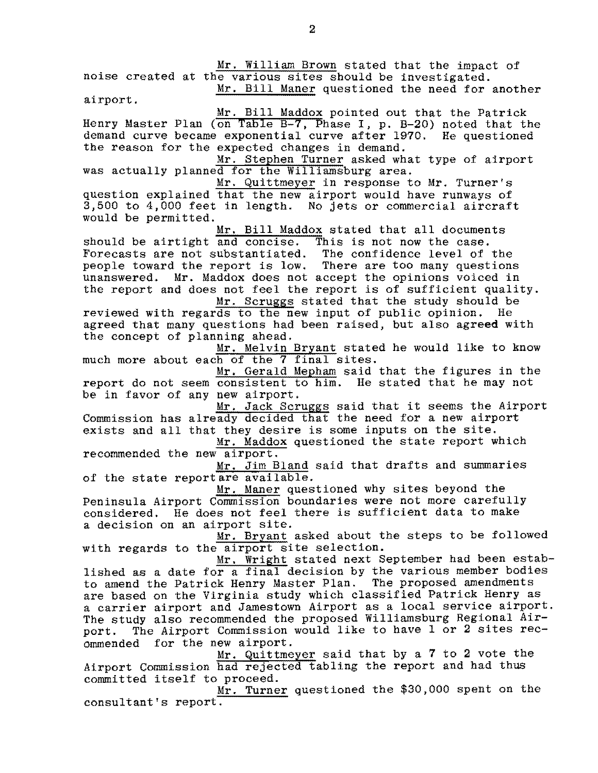Mr. William Brown stated that the impact of

noise created at the various sites should be investigated. Mr. Bill Maner questioned the need for another

airport.

Mr. Bill Maddox pointed out that the Patrick Henry Master Plan (on Table B-7, Phase I, p. B-20) noted that the demand curve became exponential curve after 1970. He questioned the reason for the expected changes in demand.

Mr. Stephen Turner asked what type of airport was actually planned for the Williamsburg area.

Mr. Quittmeyer in response to Mr. Turner's question explained that the new airport would have runways of 3,500 to 4,000 feet in length. No jets or commercial aircraft would be permitted.

Mr. Bill Maddox stated that all documents should be airtight and concise. This is not now the case.<br>Forecasts are not substantiated. The confidence level of the Forecasts are not substantiated. people toward the report is low. There are too many questions unanswered. Mr. Maddox does not accept the opinions voiced in the report and does not feel the report is of sufficient quality. Mr. Scruggs stated that the study should be

reviewed with regards to the new input of public opinion. He agreed that many questions had been raised, but also agreed with the concept of planning ahead.

Mr. Melvin Bryant stated he would like to know much more about each of the 7 final Sites.

Mr. Gerald Mepham said that the figures in the report do not seem consistent to him. He stated that he may not be in favor of any new airport.

Mr. Jack Scruggs said that it seems the Airport Commission has already decided that the need for a new airport exists and all that they desire is some inputs on the site.

Mr. Maddox questioned the state report which recommended the new airport.

Mr. Jim Bland said that drafts and summaries of the state report are available.

Mr. Maner questioned why sites beyond the Peninsula Airport Commission boundaries were not more carefully considered. He does not feel there is sufficient data to make a decision on an airport site.

Mr. Bryant asked about the steps to be followed with regards to the airport site selection.

Mr. Wright stated next September had been established as a date for a final decision by the various member bodies to amend the Patrick Henry Master Plan. The proposed amendments are based on the Virginia study which classified Patrick Henry as a carrier airport and Jamestown Airport as a local service airport. The study also recommended the proposed Williamsburg Regional Airport. The Airport Commission would like to have 1 or 2 sites rec-<br>ommended for the new airport.

Mr. Quittmeyer said that by a 7 to 2 vote the Airport Commission had rejected tabling the report and had thus committed itself to proceed.

Mr. Turner questioned the \$30,000 spent on the consultant's report.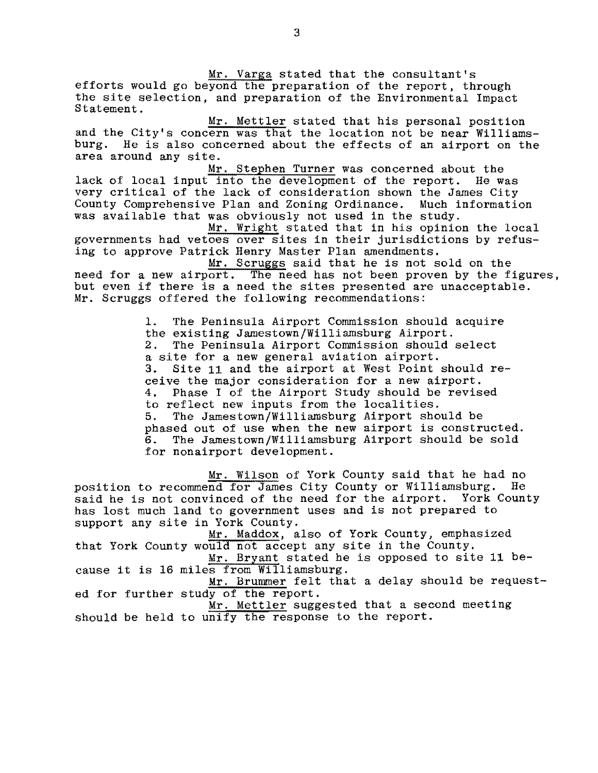Mr. Varga stated that the consultant's efforts would go beyond the preparation of the report, through the site selection, and preparation of the Environmental Impact Statement.

Mr. Mettler stated that his personal position and the City's concern was that the location not be near Williamsburg. He is also concerned about the effects of an airport on the area around any site.

Mr. Stephen Turner was concerned about the lack of local input into the development of the report. He was very critical of the lack of consideration shown the James City County Comprehensive Plan and Zoning Ordinance. Much information was available that was obviously not used in the study.

Mr. Wright stated that in his opinion the local governments had vetoes over sites in their jurisdictions by refusing to approve Patrick Henry Master Plan amendments.

Mr. Scruggs said that he is not sold on the need for a new airport. The need has not been proven by the figures, but even if there is a need the sites presented are unacceptable. Mr. Scruggs offered the following recommendations:

> 1. The Peninsula Airport Commission should acquire the existing Jamestown/Williamsburg Airport.<br>2. The Peninsula Airport Commission should The Peninsula Airport Commission should select a site for a new general aviation airport. 3. Site 11 and the airport at West Point should receive the major consideration for a new airport.<br>4. Phase I of the Airport Study should be revis Phase I of the Airport Study should be revised to reflect new inputs from the localities. 5. The Jamestown/Williamsburg Airport should be phased out of use when the new airport is constructed.<br>6. The Jamestown/Williamsburg Airport should be sold The Jamestown/Williamsburg Airport should be sold for nonairport development.

Mr. Wilson of York County said that he had no<br>and for James City County or Williamsburg. He position to recommend for James City County or Williamsburg. said he is not convinced of the need for the airport. York County has lost much land to government uses and is not prepared to support any site in York County.

Mr. Maddox, also of York County, emphasized that York County would not accept any site in the County.

Mr. Bryant stated he is opposed to site 11 because it is 16 miles from Williamsburg.

Mr. Brummer felt that a delay should be requested for further study of the report.

Mr. Mettler suggested that a second meeting should be held to unify the response to the report.